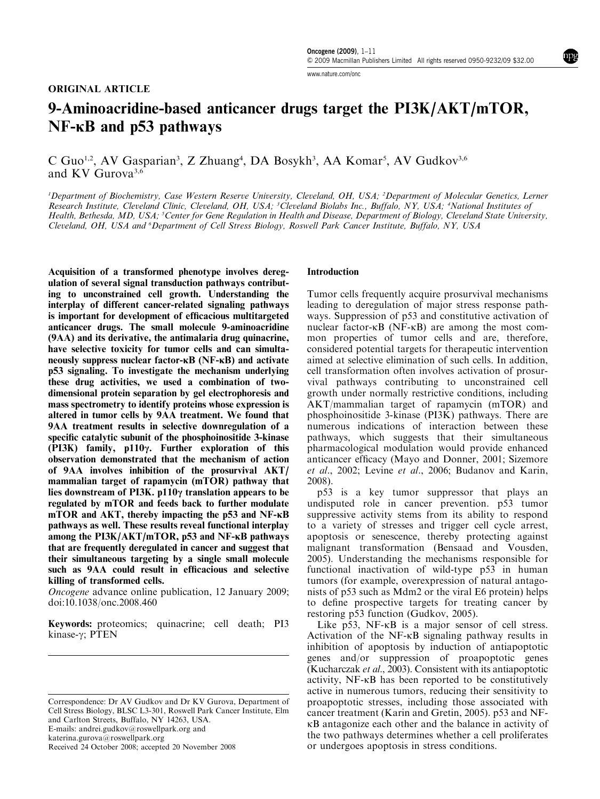[www.nature.com/onc](http://www.nature.com/onc)

# ORIGINAL ARTICLE

# 9-Aminoacridine-based anticancer drugs target the PI3K/AKT/mTOR,  $NF$ - $\kappa$ B and p53 pathways

C Guo<sup>1,2</sup>, AV Gasparian<sup>3</sup>, Z Zhuang<sup>4</sup>, DA Bosykh<sup>3</sup>, AA Komar<sup>5</sup>, AV Gudkov<sup>3,6</sup> and KV Gurova3,6

<sup>1</sup>Department of Biochemistry, Case Western Reserve University, Cleveland, OH, USA; <sup>2</sup>Department of Molecular Genetics, Lerner Research Institute, Cleveland Clinic, Cleveland, OH, USA; <sup>3</sup>Cleveland Biolabs Inc., Buffalo, NY, USA; <sup>4</sup>National Institutes of Health, Bethesda, MD, USA; <sup>5</sup>Center for Gene Regulation in Health and Disease, Department of Biology, Cleveland State University, Cleveland, OH, USA and <sup>6</sup>Department of Cell Stress Biology, Roswell Park Cancer Institute, Buffalo, NY, USA

Acquisition of a transformed phenotype involves deregulation of several signal transduction pathways contributing to unconstrained cell growth. Understanding the interplay of different cancer-related signaling pathways is important for development of efficacious multitargeted anticancer drugs. The small molecule 9-aminoacridine  $(9AA)$  and its derivative, the antimalaria drug quinacrine, have selective toxicity for tumor cells and can simultaneously suppress nuclear factor- $\kappa B$  (NF- $\kappa B$ ) and activate p53 signaling. To investigate the mechanism underlying these drug activities, we used a combination of twodimensional protein separation by gel electrophoresis and mass spectrometry to identify proteins whose expression is altered in tumor cells by 9AA treatment. We found that 9AA treatment results in selective downregulation of a specific catalytic subunit of the phosphoinositide 3-kinase (PI3K) family,  $p110\gamma$ . Further exploration of this observation demonstrated that the mechanism of action of 9AA involves inhibition of the prosurvival AKT/ mammalian target of rapamycin (mTOR) pathway that lies downstream of PI3K.  $p110\gamma$  translation appears to be regulated by mTOR and feeds back to further modulate mTOR and AKT, thereby impacting the  $p53$  and NF- $\kappa$ B pathways as well. These results reveal functional interplay among the  $PI3K/AKT/mTOR$ , p53 and NF- $\kappa$ B pathways that are frequently deregulated in cancer and suggest that their simultaneous targeting by a single small molecule such as 9AA could result in efficacious and selective killing of transformed cells.

Oncogene advance online publication, 12 January 2009; doi[:10.1038/onc.2008.460](http://dx.doi.org/10.1038/onc.2008.460)

Keywords: proteomics; quinacrine; cell death; PI3 kinase-γ; PTEN

## Introduction

Tumor cells frequently acquire prosurvival mechanisms leading to deregulation of major stress response pathways. Suppression of p53 and constitutive activation of nuclear factor- $\kappa$ B (NF- $\kappa$ B) are among the most common properties of tumor cells and are, therefore, considered potential targets for therapeutic intervention aimed at selective elimination of such cells. In addition, cell transformation often involves activation of prosurvival pathways contributing to unconstrained cell growth under normally restrictive conditions, including AKT/mammalian target of rapamycin (mTOR) and phosphoinositide 3-kinase (PI3K) pathways. There are numerous indications of interaction between these pathways, which suggests that their simultaneous pharmacological modulation would provide enhanced anticancer efficacy [\(Mayo and Donner, 2001; Sizemore](#page-10-0) et al[., 2002;](#page-10-0) Levine et al[., 2006;](#page-10-0) [Budanov and Karin,](#page-9-0) [2008\)](#page-9-0).

p53 is a key tumor suppressor that plays an undisputed role in cancer prevention. p53 tumor suppressive activity stems from its ability to respond to a variety of stresses and trigger cell cycle arrest, apoptosis or senescence, thereby protecting against malignant transformation ([Bensaad and Vousden,](#page-9-0) [2005\)](#page-9-0). Understanding the mechanisms responsible for functional inactivation of wild-type p53 in human tumors (for example, overexpression of natural antagonists of p53 such as Mdm2 or the viral E6 protein) helps to define prospective targets for treating cancer by restoring p53 function [\(Gudkov, 2005\)](#page-10-0).

Like  $p53$ , NF- $\kappa$ B is a major sensor of cell stress. Activation of the  $NF-\kappa B$  signaling pathway results in inhibition of apoptosis by induction of antiapoptotic genes and/or suppression of proapoptotic genes [\(Kucharczak](#page-10-0) et al., 2003). Consistent with its antiapoptotic activity, NF-kB has been reported to be constitutively active in numerous tumors, reducing their sensitivity to proapoptotic stresses, including those associated with cancer treatment ([Karin and Gretin, 2005\)](#page-10-0). p53 and NFkB antagonize each other and the balance in activity of the two pathways determines whether a cell proliferates Received 24 October 2008; accepted 20 November 2008 or undergoes apoptosis in stress conditions.

Correspondence: Dr AV Gudkov and Dr KV Gurova, Department of Cell Stress Biology, BLSC L3-301, Roswell Park Cancer Institute, Elm and Carlton Streets, Buffalo, NY 14263, USA. E-mails: [andrei.gudkov@roswellpark.org](mailto:andrei.gudkov@roswellpark.org) and [katerina.gurova@roswellpark.org](mailto:katerina.gurova@roswellpark.org)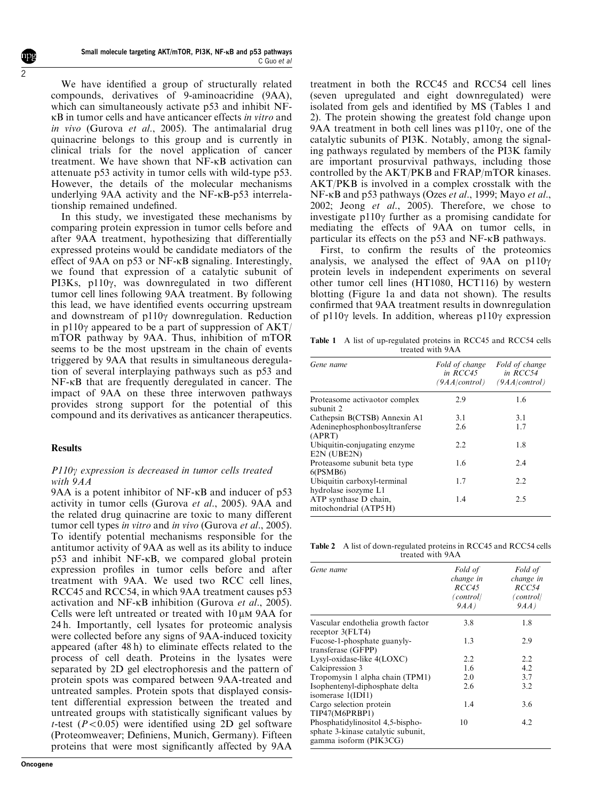We have identified a group of structurally related compounds, derivatives of 9-aminoacridine (9AA), which can simultaneously activate p53 and inhibit NFkB in tumor cells and have anticancer effects in vitro and in vivo [\(Gurova](#page-10-0) et al., 2005). The antimalarial drug quinacrine belongs to this group and is currently in clinical trials for the novel application of cancer treatment. We have shown that NF-kB activation can attenuate p53 activity in tumor cells with wild-type p53. However, the details of the molecular mechanisms underlying 9AA activity and the NF-kB-p53 interrelationship remained undefined.

In this study, we investigated these mechanisms by comparing protein expression in tumor cells before and after 9AA treatment, hypothesizing that differentially expressed proteins would be candidate mediators of the effect of 9AA on p53 or NF-kB signaling. Interestingly, we found that expression of a catalytic subunit of PI3Ks, p110 $\gamma$ , was downregulated in two different tumor cell lines following 9AA treatment. By following this lead, we have identified events occurring upstream and downstream of  $p110\gamma$  downregulation. Reduction in p110 $\gamma$  appeared to be a part of suppression of AKT/ mTOR pathway by 9AA. Thus, inhibition of mTOR seems to be the most upstream in the chain of events triggered by 9AA that results in simultaneous deregulation of several interplaying pathways such as p53 and NF-kB that are frequently deregulated in cancer. The impact of 9AA on these three interwoven pathways provides strong support for the potential of this compound and its derivatives as anticancer therapeutics.

# Results

# $P110\gamma$  expression is decreased in tumor cells treated with 9AA

9AA is a potent inhibitor of NF- $\kappa$ B and inducer of p53 activity in tumor cells ([Gurova](#page-10-0) et al., 2005). 9AA and the related drug quinacrine are toxic to many different tumor cell types in vitro and in vivo ([Gurova](#page-10-0) et al., 2005). To identify potential mechanisms responsible for the antitumor activity of 9AA as well as its ability to induce p53 and inhibit NF-kB, we compared global protein expression profiles in tumor cells before and after treatment with 9AA. We used two RCC cell lines, RCC45 and RCC54, in which 9AA treatment causes p53 activation and NF-kB inhibition [\(Gurova](#page-10-0) et al., 2005). Cells were left untreated or treated with  $10 \mu M$  9AA for 24 h. Importantly, cell lysates for proteomic analysis were collected before any signs of 9AA-induced toxicity appeared (after 48 h) to eliminate effects related to the process of cell death. Proteins in the lysates were separated by 2D gel electrophoresis and the pattern of protein spots was compared between 9AA-treated and untreated samples. Protein spots that displayed consistent differential expression between the treated and untreated groups with statistically significant values by t-test  $(P<0.05)$  were identified using 2D gel software (Proteomweaver; Definiens, Munich, Germany). Fifteen proteins that were most significantly affected by 9AA

treatment in both the RCC45 and RCC54 cell lines (seven upregulated and eight downregulated) were isolated from gels and identified by MS (Tables 1 and 2). The protein showing the greatest fold change upon 9AA treatment in both cell lines was  $p110\gamma$ , one of the catalytic subunits of PI3K. Notably, among the signaling pathways regulated by members of the PI3K family are important prosurvival pathways, including those controlled by the AKT/PKB and FRAP/mTOR kinases. AKT/PKB is involved in a complex crosstalk with the NF-kB and p53 pathways (Ozes et al[., 1999;](#page-10-0) Mayo et al., 2002; Jeong et al[., 2005](#page-10-0)). Therefore, we chose to investigate  $p110\gamma$  further as a promising candidate for mediating the effects of 9AA on tumor cells, in particular its effects on the p53 and NF-kB pathways.

First, to confirm the results of the proteomics analysis, we analysed the effect of  $9AA$  on  $p110\gamma$ protein levels in independent experiments on several other tumor cell lines (HT1080, HCT116) by western blotting (Figure 1a and data not shown). The results confirmed that 9AA treatment results in downregulation of p110 $\gamma$  levels. In addition, whereas p110 $\gamma$  expression

Table 1 A list of up-regulated proteins in RCC45 and RCC54 cells treated with 9AA

| Gene name                                           | Fold of change<br>in $RCC45$<br>(9AA control) | Fold of change<br>in $RCC54$<br>(9AA control) |
|-----------------------------------------------------|-----------------------------------------------|-----------------------------------------------|
| Proteasome activaotor complex<br>subunit 2          | 2.9                                           | 1.6                                           |
| Cathepsin B(CTSB) Annexin A1                        | 3.1                                           | 3.1                                           |
| Adeninephosphonbosyltranferse<br>(APRT)             | 2.6                                           | 1.7                                           |
| Ubiquitin-conjugating enzyme<br>E2N (UBE2N)         | 2.2                                           | 1.8                                           |
| Proteasome subunit beta type<br>$6$ (PSMB $6$ )     | 1.6                                           | 2.4                                           |
| Ubiquitin carboxyl-terminal<br>hydrolase isozyme L1 | 1.7                                           | 2.2                                           |
| ATP synthase D chain,<br>mitochondrial (ATP5H)      | 1.4                                           | 2.5                                           |

Table 2 A list of down-regulated proteins in RCC45 and RCC54 cells treated with 9AA

| Gene name                                                                                        | Fold of<br>change in<br>RCC45<br>(control)<br>9AA) | Fold of<br>change in<br>RCC54<br>(control)<br>9AA) |
|--------------------------------------------------------------------------------------------------|----------------------------------------------------|----------------------------------------------------|
| Vascular endothelia growth factor<br>receptor 3(FLT4)                                            | 3.8                                                | 1.8                                                |
| Fucose-1-phosphate guanyly-<br>transferase (GFPP)                                                | 1.3                                                | 2.9                                                |
| Lysyl-oxidase-like 4(LOXC)                                                                       | 2.2                                                | 2.2                                                |
| Calcipression 3                                                                                  | 1.6                                                | 4.2                                                |
| Tropomysin 1 alpha chain (TPM1)                                                                  | 2.0                                                | 3.7                                                |
| Isophentenyl-diphosphate delta<br>isomerase 1(IDI1)                                              | 2.6                                                | 3.2                                                |
| Cargo selection protein<br>TIP47(M6PRBP1)                                                        | 1.4                                                | 3.6                                                |
| Phosphatidylinositol 4,5-bispho-<br>sphate 3-kinase catalytic subunit,<br>gamma isoform (PIK3CG) | 10                                                 | 4.2                                                |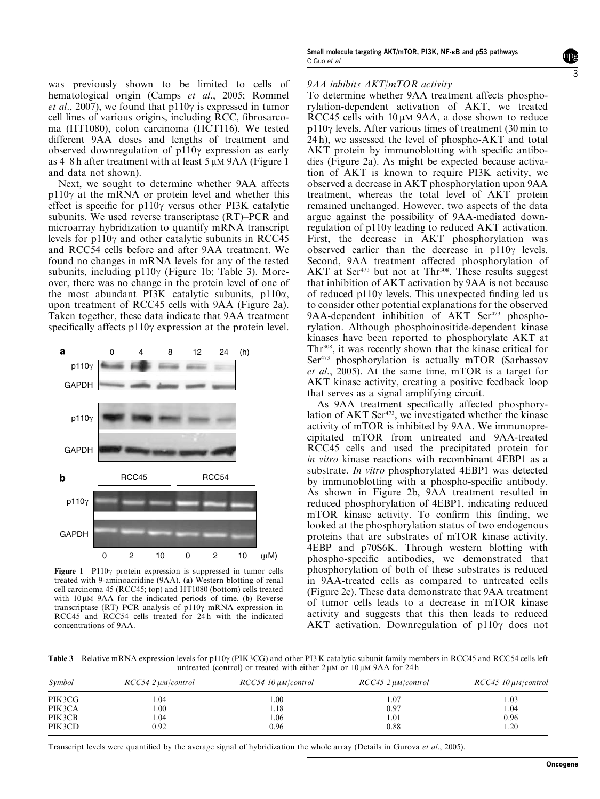<span id="page-2-0"></span>was previously shown to be limited to cells of hematological origin (Camps et al[., 2005;](#page-9-0) [Rommel](#page-10-0) *et al.*, 2007), we found that p110 $\gamma$  is expressed in tumor cell lines of various origins, including RCC, fibrosarcoma (HT1080), colon carcinoma (HCT116). We tested different 9AA doses and lengths of treatment and observed downregulation of  $p110\gamma$  expression as early as  $4-8$  h after treatment with at least  $5 \mu M$  9AA (Figure 1) and data not shown).

Next, we sought to determine whether 9AA affects  $p110y$  at the mRNA or protein level and whether this effect is specific for  $p110\gamma$  versus other PI3K catalytic subunits. We used reverse transcriptase (RT)–PCR and microarray hybridization to quantify mRNA transcript levels for  $p110\gamma$  and other catalytic subunits in RCC45 and RCC54 cells before and after 9AA treatment. We found no changes in mRNA levels for any of the tested subunits, including p110 $\gamma$  (Figure 1b; Table 3). Moreover, there was no change in the protein level of one of the most abundant PI3K catalytic subunits, p110 $\alpha$ , upon treatment of RCC45 cells with 9AA [\(Figure 2a\)](#page-3-0). Taken together, these data indicate that 9AA treatment specifically affects  $p110\gamma$  expression at the protein level.



Figure 1  $P110\gamma$  protein expression is suppressed in tumor cells treated with 9-aminoacridine (9AA). (a) Western blotting of renal cell carcinoma 45 (RCC45; top) and HT1080 (bottom) cells treated with  $10 \mu M$  9AA for the indicated periods of time. (b) Reverse transcriptase (RT)–PCR analysis of p110 $\gamma$  mRNA expression in RCC45 and RCC54 cells treated for 24 h with the indicated concentrations of 9AA.

## 9AA inhibits AKT/mTOR activity

To determine whether 9AA treatment affects phosphorylation-dependent activation of AKT, we treated RCC45 cells with  $10 \mu M$  9AA, a dose shown to reduce  $p110\gamma$  levels. After various times of treatment (30 min to 24 h), we assessed the level of phospho-AKT and total AKT protein by immunoblotting with specific antibodies [\(Figure 2a](#page-3-0)). As might be expected because activation of AKT is known to require PI3K activity, we observed a decrease in AKT phosphorylation upon 9AA treatment, whereas the total level of AKT protein remained unchanged. However, two aspects of the data argue against the possibility of 9AA-mediated downregulation of  $p110\gamma$  leading to reduced AKT activation. First, the decrease in AKT phosphorylation was observed earlier than the decrease in  $p110\gamma$  levels. Second, 9AA treatment affected phosphorylation of AKT at Ser<sup>473</sup> but not at Thr<sup>308</sup>. These results suggest that inhibition of AKT activation by 9AA is not because of reduced  $p110\gamma$  levels. This unexpected finding led us to consider other potential explanations for the observed  $9AA$ -dependent inhibition of AKT Ser<sup>473</sup> phosphorylation. Although phosphoinositide-dependent kinase kinases have been reported to phosphorylate AKT at Thr308, it was recently shown that the kinase critical for Ser<sup>473</sup> phosphorylation is actually mTOR ([Sarbassov](#page-10-0) et al.,  $2005$ ). At the same time, mTOR is a target for AKT kinase activity, creating a positive feedback loop that serves as a signal amplifying circuit.

As 9AA treatment specifically affected phosphorylation of AKT Ser<sup>473</sup>, we investigated whether the kinase activity of mTOR is inhibited by 9AA. We immunoprecipitated mTOR from untreated and 9AA-treated RCC45 cells and used the precipitated protein for in vitro kinase reactions with recombinant 4EBP1 as a substrate. In vitro phosphorylated 4EBP1 was detected by immunoblotting with a phospho-specific antibody. As shown in [Figure 2b](#page-3-0), 9AA treatment resulted in reduced phosphorylation of 4EBP1, indicating reduced mTOR kinase activity. To confirm this finding, we looked at the phosphorylation status of two endogenous proteins that are substrates of mTOR kinase activity, 4EBP and p70S6K. Through western blotting with phospho-specific antibodies, we demonstrated that phosphorylation of both of these substrates is reduced in 9AA-treated cells as compared to untreated cells [\(Figure 2c\)](#page-3-0). These data demonstrate that 9AA treatment of tumor cells leads to a decrease in mTOR kinase activity and suggests that this then leads to reduced AKT activation. Downregulation of  $p110\gamma$  does not

Table 3 Relative mRNA expression levels for p110 $\gamma$  (PIK3CG) and other PI3 K catalytic subunit family members in RCC45 and RCC54 cells left untreated (control) or treated with either  $2 \mu M$  or  $10 \mu M$  9AA for 24 h

| Symbol | $RCC54$ 2 $\mu$ M/control | $RCC54$ 10 $\mu$ M/control | $RCC45$ 2 $\mu$ M/control | $RCC45$ 10 $\mu$ M/control |
|--------|---------------------------|----------------------------|---------------------------|----------------------------|
| PIK3CG | 1.04                      | 00.1                       | 1.07                      | 1.03                       |
| PIK3CA | 00.1                      | 1.18                       | 0.97                      | 1.04                       |
| PIK3CB | 1.04                      | .06                        | 1.01                      | 0.96                       |
| PIK3CD | 0.92                      | 0.96                       | 0.88                      | 1.20                       |

Transcript levels were quantified by the average signal of hybridization the whole array (Details in [Gurova](#page-10-0) et al., 2005).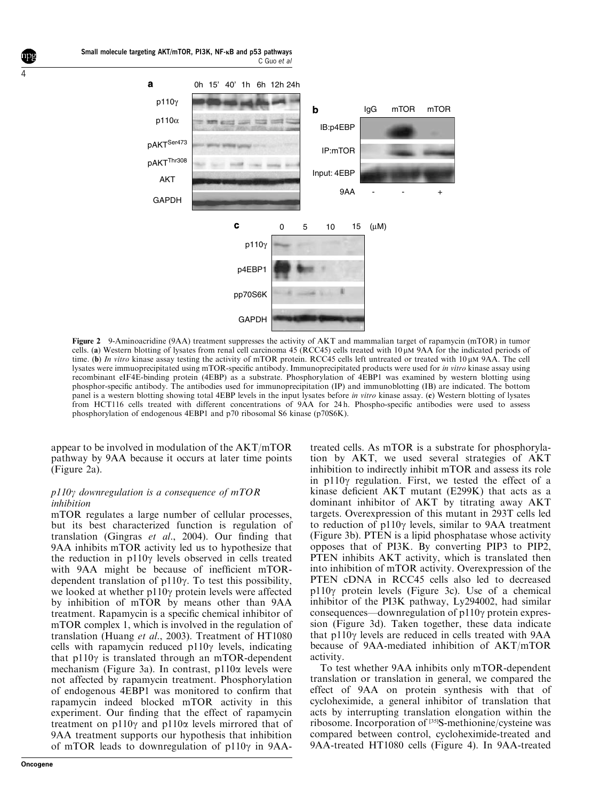



Figure 2 9-Aminoacridine (9AA) treatment suppresses the activity of AKT and mammalian target of rapamycin (mTOR) in tumor cells. (a) Western blotting of lysates from renal cell carcinoma 45 (RCC45) cells treated with 10 mM 9AA for the indicated periods of time. (b) In vitro kinase assay testing the activity of mTOR protein. RCC45 cells left untreated or treated with  $10 \mu M$  9AA. The cell lysates were immuoprecipitated using mTOR-specific antibody. Immunoprecipitated products were used for in vitro kinase assay using recombinant eIF4E-binding protein (4EBP) as a substrate. Phosphorylation of 4EBP1 was examined by western blotting using phosphor-specific antibody. The antibodies used for immunoprecipitation (IP) and immunoblotting (IB) are indicated. The bottom panel is a western blotting showing total 4EBP levels in the input lysates before in vitro kinase assay. (c) Western blotting of lysates from HCT116 cells treated with different concentrations of 9AA for 24 h. Phospho-specific antibodies were used to assess phosphorylation of endogenous 4EBP1 and p70 ribosomal S6 kinase (p70S6K).

appear to be involved in modulation of the AKT/mTOR pathway by 9AA because it occurs at later time points (Figure 2a).

# $p110\gamma$  downregulation is a consequence of mTOR inhibition

mTOR regulates a large number of cellular processes, but its best characterized function is regulation of translation ([Gingras](#page-9-0) et al., 2004). Our finding that 9AA inhibits mTOR activity led us to hypothesize that the reduction in  $p110\gamma$  levels observed in cells treated with 9AA might be because of inefficient mTORdependent translation of p110g. To test this possibility, we looked at whether  $p110\gamma$  protein levels were affected by inhibition of mTOR by means other than 9AA treatment. Rapamycin is a specific chemical inhibitor of mTOR complex 1, which is involved in the regulation of translation [\(Huang](#page-10-0) et al., 2003). Treatment of HT1080 cells with rapamycin reduced  $p110\gamma$  levels, indicating that  $p110\gamma$  is translated through an mTOR-dependent mechanism ([Figure 3a](#page-4-0)). In contrast, p110a levels were not affected by rapamycin treatment. Phosphorylation of endogenous 4EBP1 was monitored to confirm that rapamycin indeed blocked mTOR activity in this experiment. Our finding that the effect of rapamycin treatment on  $p110\gamma$  and  $p110\alpha$  levels mirrored that of 9AA treatment supports our hypothesis that inhibition of mTOR leads to downregulation of  $p110\gamma$  in 9AA-

**Oncogene**

<span id="page-3-0"></span>4

treated cells. As mTOR is a substrate for phosphorylation by AKT, we used several strategies of AKT inhibition to indirectly inhibit mTOR and assess its role in p110 $\gamma$  regulation. First, we tested the effect of a kinase deficient AKT mutant (E299K) that acts as a dominant inhibitor of AKT by titrating away AKT targets. Overexpression of this mutant in 293T cells led to reduction of  $p110y$  levels, similar to 9AA treatment (Figure 3b). PTEN is a lipid phosphatase whose activity opposes that of PI3K. By converting PIP3 to PIP2, PTEN inhibits AKT activity, which is translated then into inhibition of mTOR activity. Overexpression of the PTEN cDNA in RCC45 cells also led to decreased  $p110\gamma$  protein levels ([Figure 3c\)](#page-4-0). Use of a chemical inhibitor of the PI3K pathway, Ly294002, had similar consequences—downregulation of  $p110\gamma$  protein expression ([Figure 3d](#page-4-0)). Taken together, these data indicate that  $p110\gamma$  levels are reduced in cells treated with  $9AA$ because of 9AA-mediated inhibition of AKT/mTOR activity.

To test whether 9AA inhibits only mTOR-dependent translation or translation in general, we compared the effect of 9AA on protein synthesis with that of cycloheximide, a general inhibitor of translation that acts by interrupting translation elongation within the ribosome. Incorporation of [35]S-methionine/cysteine was compared between control, cycloheximide-treated and 9AA-treated HT1080 cells [\(Figure 4\)](#page-4-0). In 9AA-treated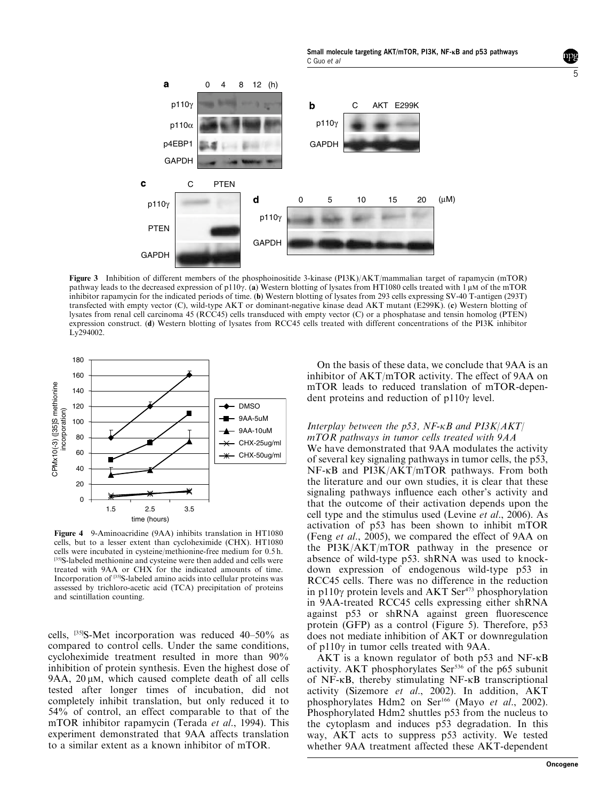Small molecule targeting AKT/mTOR, PI3K, NF-KB and p53 pathways C Guo et al

<span id="page-4-0"></span>a 0 4 8 12 (h) p110γ b C AKT E299K p110γ p110α p4EBP1 GAPDH GAPDH C PTEN d 0 5 10 15 20 (µM) p110γ p110γ PTEN **GAPDH GAPDH** 

Figure 3 Inhibition of different members of the phosphoinositide 3-kinase (PI3K)/AKT/mammalian target of rapamycin (mTOR) pathway leads to the decreased expression of p110 $\gamma$ . (a) Western blotting of lysates from HT1080 cells treated with 1  $\mu$ M of the mTOR inhibitor rapamycin for the indicated periods of time. (b) Western blotting of lysates from 293 cells expressing SV-40 T-antigen (293T) transfected with empty vector (C), wild-type AKT or dominant-negative kinase dead AKT mutant (E299K). (c) Western blotting of lysates from renal cell carcinoma 45 (RCC45) cells transduced with empty vector (C) or a phosphatase and tensin homolog (PTEN) expression construct. (d) Western blotting of lysates from RCC45 cells treated with different concentrations of the PI3K inhibitor Ly294002.



 $\mathbf c$ 

Figure 4 9-Aminoacridine(9AA) inhibits translation in HT1080 cells, but to a lesser extent than cycloheximide (CHX). HT1080 cells were incubated in cysteine/methionine-free medium for 0.5 h. [35]S-labeled methionine and cysteine were then added and cells were treated with 9AA or CHX for the indicated amounts of time. Incorporation of [35]S-labeled amino acids into cellular proteins was assessed by trichloro-acetic acid (TCA) precipitation of proteins and scintillation counting.

cells, [35]S-Met incorporation was reduced 40–50% as compared to control cells. Under the same conditions, cycloheximide treatment resulted in more than 90% inhibition of protein synthesis. Even the highest dose of 9AA,  $20 \mu M$ , which caused complete death of all cells tested after longer times of incubation, did not completely inhibit translation, but only reduced it to 54% of control, an effect comparable to that of the mTOR inhibitor rapamycin (Terada et al., 1994). This experiment demonstrated that 9AA affects translation to a similar extent as a known inhibitor of mTOR.

On the basis of these data, we conclude that 9AA is an inhibitor of AKT/mTOR activity. The effect of 9AA on mTOR leads to reduced translation of mTOR-dependent proteins and reduction of  $p110y$  level.

## Interplay between the  $p53$ , NF- $\kappa$ B and PI3K/AKT/ mTOR pathways in tumor cells treated with 9AA

We have demonstrated that 9AA modulates the activity of several key signaling pathways in tumor cells, the p53, NF-kB and PI3K/AKT/mTOR pathways. From both the literature and our own studies, it is clear that these signaling pathways influence each other's activity and that the outcome of their activation depends upon the cell type and the stimulus used [\(Levine](#page-10-0) et al., 2006). As activation of p53 has been shown to inhibit mTOR (Feng et al[., 2005\)](#page-9-0), we compared the effect of 9AA on the  $PI3K/AKT/mTOR$  pathway in the presence or absence of wild-type p53. shRNA was used to knockdown expression of endogenous wild-type p53 in RCC45 cells. There was no difference in the reduction in p110 $\gamma$  protein levels and AKT Ser<sup>473</sup> phosphorylation in 9AA-treated RCC45 cells expressing either shRNA against p53 or shRNA against green fluorescence protein (GFP) as a control [\(Figure 5](#page-5-0)). Therefore, p53 does not mediate inhibition of AKT or downregulation of  $p110y$  in tumor cells treated with 9AA.

 $AKT$  is a known regulator of both p53 and NF- $\kappa$ B activity. AKT phosphorylates Ser<sup>536</sup> of the p65 subunit of NF-kB, thereby stimulating NF-kB transcriptional activity ([Sizemore](#page-10-0) et al., 2002). In addition, AKT phosphorylates Hdm2 on Ser<sup>166</sup> (Mayo et al., 2002). Phosphorylated Hdm2 shuttles p53 from the nucleus to the cytoplasm and induces p53 degradation. In this way, AKT acts to suppress p53 activity. We tested whether 9AA treatment affected these AKT-dependent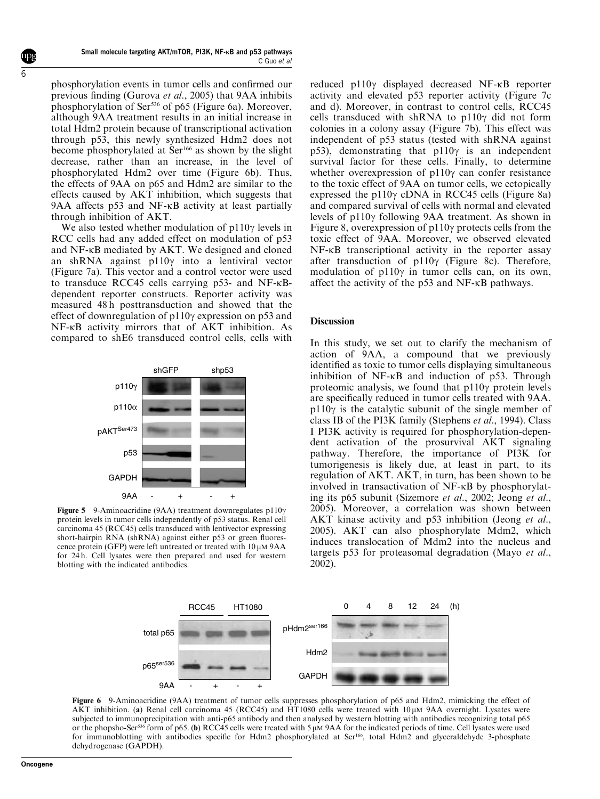<span id="page-5-0"></span>phosphorylation events in tumor cells and confirmed our previous finding ([Gurova](#page-10-0) et al., 2005) that 9AA inhibits phosphorylation of Ser<sup>536</sup> of p65 (Figure 6a). Moreover, although 9AA treatment results in an initial increase in total Hdm2 protein because of transcriptional activation through p53, this newly synthesized Hdm2 does not become phosphorylated at Ser<sup>166</sup> as shown by the slight decrease, rather than an increase, in the level of phosphorylated Hdm2 over time (Figure 6b). Thus, the effects of 9AA on p65 and Hdm2 are similar to the effects caused by  $AKT$  inhibition, which suggests that 9AA affects p53 and NF- $\kappa$ B activity at least partially through inhibition of AKT.

We also tested whether modulation of  $p110\gamma$  levels in RCC cells had any added effect on modulation of p53 and NF-kB mediated by AKT. We designed and cloned an shRNA against p110g into a lentiviral vector [\(Figure 7a](#page-6-0)). This vector and a control vector were used to transduce RCC45 cells carrying p53- and NF-κBdependent reporter constructs. Reporter activity was measured 48 h posttransduction and showed that the effect of downregulation of  $p110\gamma$  expression on p53 and NF-kB activity mirrors that of AKT inhibition. As compared to shE6 transduced control cells, cells with



Figure 5 9-Aminoacridine (9AA) treatment downregulates p110 $\gamma$ protein levels in tumor cells independently of p53 status. Renal cell carcinoma 45 (RCC45) cells transduced with lentivector expressing short-hairpin RNA (shRNA) against either p53 or green fluorescence protein (GFP) were left untreated or treated with  $10 \mu M$  9AA for 24 h. Cell lysates were then prepared and used for western blotting with the indicated antibodies.

reduced p110g displayed decreased NF-kB reporter activity and elevated p53 reporter activity ([Figure 7c](#page-6-0) [and d](#page-6-0)). Moreover, in contrast to control cells, RCC45 cells transduced with shRNA to p110 $\gamma$  did not form colonies in a colony assay [\(Figure 7b\)](#page-6-0). This effect was independent of p53 status (tested with shRNA against p53), demonstrating that  $p110\gamma$  is an independent survival factor for these cells. Finally, to determine whether overexpression of  $p110y$  can confer resistance to the toxic effect of 9AA on tumor cells, we ectopically expressed the p110 $\gamma$  cDNA in RCC45 cells ([Figure 8a\)](#page-6-0) and compared survival of cells with normal and elevated levels of  $p110\gamma$  following 9AA treatment. As shown in [Figure 8](#page-6-0), overexpression of  $p110\gamma$  protects cells from the toxic effect of 9AA. Moreover, we observed elevated  $NF-\kappa B$  transcriptional activity in the reporter assay after transduction of  $p110y$  ([Figure 8c\)](#page-6-0). Therefore, modulation of  $p110\gamma$  in tumor cells can, on its own, affect the activity of the p53 and NF-kB pathways.

# Discussion

In this study, we set out to clarify the mechanism of action of 9AA, a compound that we previously identified as toxic to tumor cells displaying simultaneous inhibition of NF-kB and induction of p53. Through proteomic analysis, we found that  $p110\gamma$  protein levels are specifically reduced in tumor cells treated with 9AA.  $p110\gamma$  is the catalytic subunit of the single member of class IB of the PI3K family [\(Stephens](#page-10-0) et al., 1994). Class I PI3K activity is required for phosphorylation-dependent activation of the prosurvival AKT signaling pathway. Therefore, the importance of PI3K for tumorigenesis is likely due, at least in part, to its regulation of AKT. AKT, in turn, has been shown to be involved in transactivation of NF-kB by phosphorylating its p65 subunit ([Sizemore](#page-10-0) et al., 2002; [Jeong](#page-10-0) et al., [2005\)](#page-10-0). Moreover, a correlation was shown between AKT kinase activity and p53 inhibition [\(Jeong](#page-10-0) et al., [2005\)](#page-10-0). AKT can also phosphorylate Mdm2, which induces translocation of Mdm2 into the nucleus and targets p53 for proteasomal degradation (Mayo et al., 2002).



Figure 6 9-Aminoacridine (9AA) treatment of tumor cells suppresses phosphorylation of p65 and Hdm2, mimicking the effect of AKT inhibition. (a) Renal cell carcinoma 45 (RCC45) and  $\hat{HT}1080$  cells were treated with 10  $\mu$ M 9AA overnight. Lysates were subjected to immunoprecipitation with anti-p65 antibody and then analysed by western blotting with antibodies recognizing total p65 or the phopsho-Ser<sup>536</sup> form of p65. (b) RCC45 cells were treated with 5 uM 9AA for the indicated periods of time. Cell lysates were used for immunoblotting with antibodies specific for Hdm2 phosphorylated at Ser<sup>166</sup>, total Hdm2 and glyceraldehyde 3-phosphate dehydrogenase (GAPDH).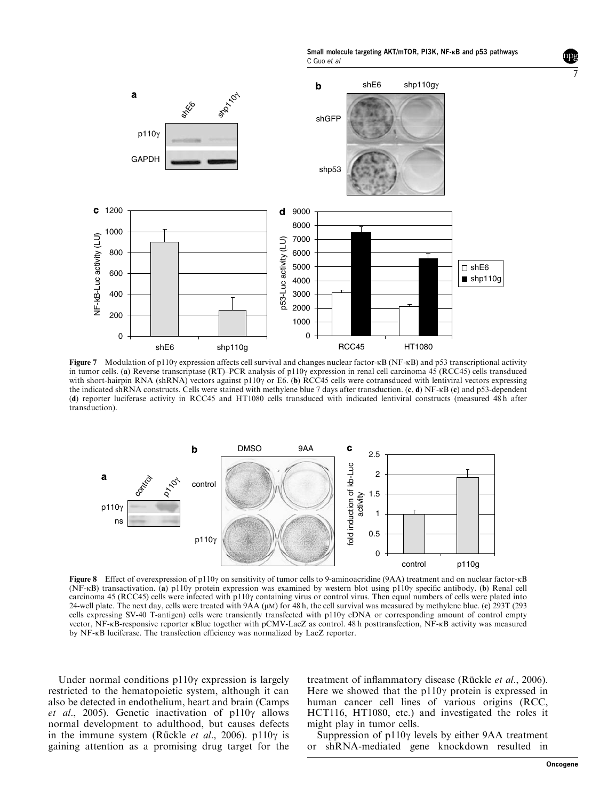Small molecule targeting AKT/mTOR, PI3K, NF-KB and p53 pathways C Guo et al

<span id="page-6-0"></span>

Figure 7 Modulation of p110y expression affects cell survival and changes nuclear factor- $\kappa$ B (NF- $\kappa$ B) and p53 transcriptional activity in tumor cells. (a) Reverse transcriptase (RT)–PCR analysis of p110 $\gamma$  expression in renal cell carcinoma 45 (RCC45) cells transduced with short-hairpin RNA (shRNA) vectors against p110 $\gamma$  or E6. (b) RCC45 cells were cotransduced with lentiviral vectors expressing the indicated shRNA constructs. Cells were stained with methylene blue 7 days after transduction. (c, d) NF-kB (c) and p53-dependent (d) reporter luciferase activity in RCC45 and HT1080 cells transduced with indicated lentiviral constructs (measured 48 h after transduction).



Figure 8 Effect of overexpression of p110 $\gamma$  on sensitivity of tumor cells to 9-aminoacridine (9AA) treatment and on nuclear factor- $\kappa$ B (NF-kB) transactivation. (a) p110 $\gamma$  protein expression was examined by western blot using p110 $\gamma$  specific antibody. (b) Renal cell carcinoma 45 (RCC45) cells were infected with p110 $\gamma$  containing virus or control virus. Then equal numbers of cells were plated into 24-well plate. The next day, cells were treated with  $9AA (\mu M)$  for 48 h, the cell survival was measured by methylene blue. (c)  $293T (293)$ cells expressing SV-40 T-antigen) cells were transiently transfected with  $p110\gamma$  cDNA or corresponding amount of control empty vector, NF-kB-responsive reporter kBluc together with pCMV-LacZ as control. 48 h posttransfection, NF-kB activity was measured by NF- $\kappa$ B luciferase. The transfection efficiency was normalized by LacZ reporter.

Under normal conditions  $p110\gamma$  expression is largely restricted to the hematopoietic system, although it can also be detected in endothelium, heart and brain [\(Camps](#page-9-0) et al[., 2005](#page-9-0)). Genetic inactivation of  $p110\gamma$  allows normal development to adulthood, but causes defects in the immune system (Rückle et al., 2006). p110 $\gamma$  is gaining attention as a promising drug target for the

treatment of inflammatory disease (Rückle et al., 2006). Here we showed that the  $p110\gamma$  protein is expressed in human cancer cell lines of various origins (RCC, HCT116, HT1080, etc.) and investigated the roles it might play in tumor cells.

Suppression of  $p110\gamma$  levels by either 9AA treatment or shRNA-mediated gene knockdown resulted in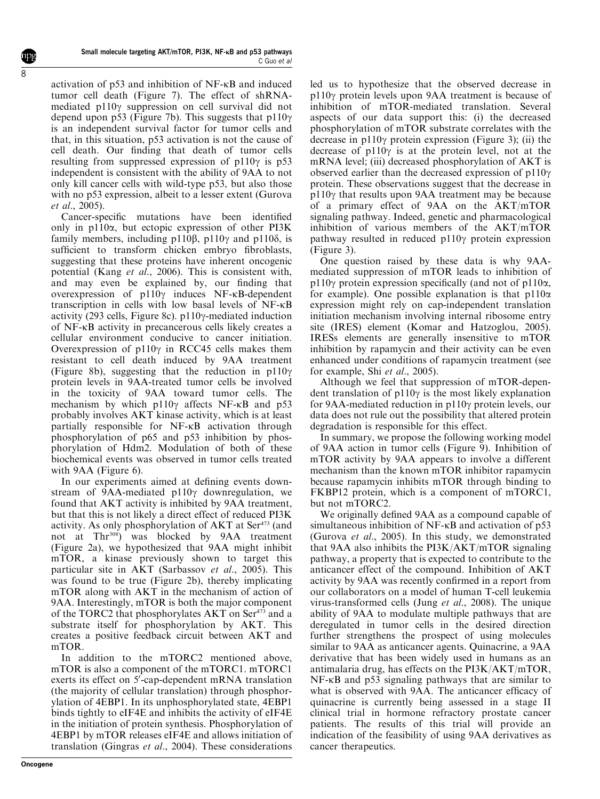activation of p53 and inhibition of NF-kB and induced tumor cell death [\(Figure 7](#page-6-0)). The effect of shRNAmediated p110g suppression on cell survival did not depend upon p53 [\(Figure 7b](#page-6-0)). This suggests that  $p110\gamma$ is an independent survival factor for tumor cells and that, in this situation, p53 activation is not thecauseof cell death. Our finding that death of tumor cells resulting from suppressed expression of  $p110y$  is p53 independent is consistent with the ability of 9AA to not only kill cancer cells with wild-type p53, but also those with no p53 expression, albeit to a lesser extent ([Gurova](#page-10-0) et al[., 2005](#page-10-0)).

Cancer-specific mutations have been identified only in  $p110\alpha$ , but ectopic expression of other PI3K family members, including p110 $\beta$ , p110 $\gamma$  and p110 $\delta$ , is sufficient to transform chicken embryo fibroblasts, suggesting that these proteins have inherent oncogenic potential (Kang et al[., 2006\)](#page-10-0). This is consistent with, and may even be explained by, our finding that overexpression of  $p110\gamma$  induces NF- $\kappa$ B-dependent transcription in cells with low basal levels of NF-kB activity (293 cells, [Figure 8c\)](#page-6-0).  $p110\gamma$ -mediated induction of NF-kB activity in precancerous cells likely creates a cellular environment conducive to cancer initiation. Overexpression of  $p110\gamma$  in RCC45 cells makes them resistant to cell death induced by 9AA treatment [\(Figure 8b\)](#page-6-0), suggesting that the reduction in  $p110\gamma$ protein levels in 9AA-treated tumor cells be involved in the toxicity of 9AA toward tumor cells. The mechanism by which  $p110\gamma$  affects NF- $\kappa$ B and  $p53$ probably involves AKT kinase activity, which is at least partially responsible for NF-kB activation through phosphorylation of p65 and p53 inhibition by phosphorylation of Hdm2. Modulation of both of these biochemical events was observed in tumor cells treated with  $9AA$  (Figure 6).

In our experiments aimed at defining events downstream of 9AA-mediated  $p110\gamma$  downregulation, we found that AKT activity is inhibited by 9AA treatment, but that this is not likely a direct effect of reduced PI3K activity. As only phosphorylation of AKT at Ser<sup>473</sup> (and not at Thr<sup>308</sup>) was blocked by 9AA treatment [\(Figure 2a](#page-3-0)), we hypothesized that 9AA might inhibit mTOR, a kinase previously shown to target this particular site in  $\angle$ AKT [\(Sarbassov](#page-10-0) *et al.*, 2005). This was found to be true ([Figure 2b\)](#page-3-0), thereby implicating mTOR along with AKT in themechanism of action of 9AA. Interestingly, mTOR is both the major component of the TORC2 that phosphorylates AKT on Ser<sup>473</sup> and a substrate itself for phosphorylation by AKT. This creates a positive feedback circuit between AKT and mTOR.

In addition to the mTORC2 mentioned above, mTOR is also a component of the mTORC1. mTORC1 exerts its effect on  $5^7$ -cap-dependent mRNA translation (the majority of cellular translation) through phosphorylation of 4EBP1. In its unphosphorylated state, 4EBP1 binds tightly to eIF4E and inhibits the activity of eIF4E in the initiation of protein synthesis. Phosphorylation of 4EBP1 by mTOR releases eIF4E and allows initiation of translation [\(Gingras](#page-9-0) et al., 2004). These considerations led us to hypothesize that the observed decrease in p110g protein levels upon 9AA treatment is because of inhibition of mTOR-mediated translation. Several aspects of our data support this: (i) the decreased phosphorylation of mTOR substrate correlates with the decrease in  $p110\gamma$  protein expression ([Figure 3\)](#page-4-0); (ii) the decrease of  $p110\gamma$  is at the protein level, not at the mRNA level; (iii) decreased phosphorylation of AKT is observed earlier than the decreased expression of  $p110y$ protein. These observations suggest that the decrease in  $p110\gamma$  that results upon 9AA treatment may be because of a primary effect of 9AA on the AKT/mTOR signaling pathway. Indeed, genetic and pharmacological inhibition of various members of the AKT/mTOR pathway resulted in reduced  $p110\gamma$  protein expression  $(Figure 3)$ .

One question raised by these data is why 9AAmediated suppression of mTOR leads to inhibition of p110 $\gamma$  protein expression specifically (and not of p110 $\alpha$ , for example). One possible explanation is that  $p110\alpha$ expression might rely on cap-independent translation initiation mechanism involving internal ribosome entry site (IRES) element ([Komar and Hatzoglou, 2005\)](#page-10-0). IRESs elements are generally insensitive to mTOR inhibition by rapamycin and their activity can be even enhanced under conditions of rapamycin treatment (see for example, Shi et al[., 2005](#page-10-0)).

Although we feel that suppression of mTOR-dependent translation of  $p110\gamma$  is the most likely explanation for 9AA-mediated reduction in  $p110\gamma$  protein levels, our data does not rule out the possibility that altered protein degradation is responsible for this effect.

In summary, we propose the following working model of 9AA action in tumor cells ([Figure 9](#page-8-0)). Inhibition of mTOR activity by 9AA appears to involve a different mechanism than the known mTOR inhibitor rapamycin because rapamycin inhibits mTOR through binding to FKBP12 protein, which is a component of mTORC1, but not mTORC2.

We originally defined 9AA as a compound capable of simultaneous inhibition of NF- $\kappa$ B and activation of p53 [\(Gurova](#page-10-0) et al., 2005). In this study, we demonstrated that 9AA also inhibits the  $PI3K/AKT/mTOR$  signaling pathway, a property that is expected to contribute to the anticancer effect of the compound. Inhibition of AKT activity by 9AA was recently confirmed in a report from our collaborators on a model of human T-cell leukemia virus-transformed cells (Jung *et al.*, 2008). The unique ability of 9AA to modulate multiple pathways that are deregulated in tumor cells in the desired direction further strengthens the prospect of using molecules similar to 9AA as anticancer agents. Quinacrine, a 9AA derivative that has been widely used in humans as an antimalaria drug, has effects on the PI3K/AKT/mTOR,  $NF-\kappa B$  and p53 signaling pathways that are similar to what is observed with 9AA. The anticancer efficacy of quinacrine is currently being assessed in a stage II clinical trial in hormone refractory prostate cancer patients. The results of this trial will provide an indication of the feasibility of using 9AA derivatives as cancer therapeutics.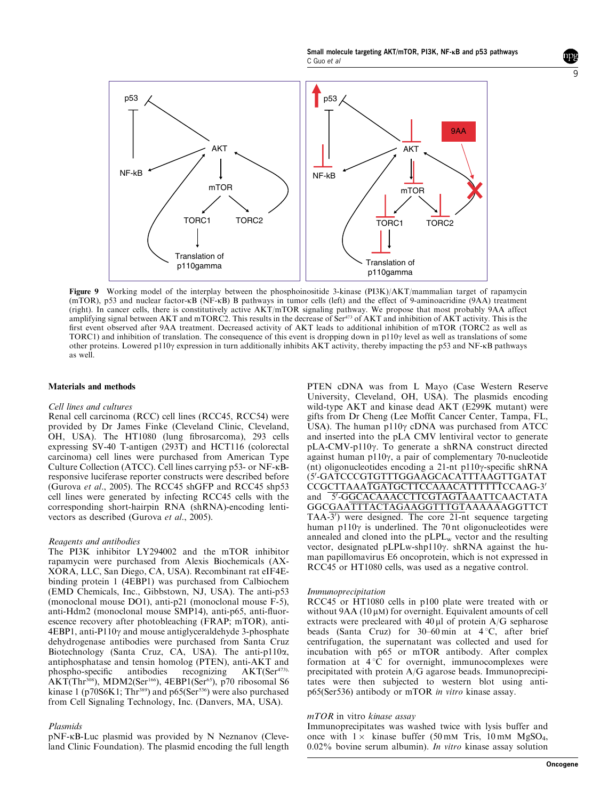Small molecule targeting AKT/mTOR, PI3K, NF-KB and p53 pathways C Guo et al

<span id="page-8-0"></span>

Figure 9 Working model of the interplay between the phosphoinositide 3-kinase (PI3K)/AKT/mammalian target of rapamycin (mTOR), p53 and nuclear factor-kB (NF-kB) B pathways in tumor cells (left) and the effect of 9-aminoacridine (9AA) treatment (right). In cancer cells, there is constitutively active AKT/mTOR signaling pathway. We propose that most probably 9AA affect amplifying signal between AKT and mTORC2. This results in the decrease of Ser<sup>473</sup> of AKT and inhibition of AKT activity. This is the first event observed after 9AA treatment. Decreased activity of AKT leads to additional inhibition of mTOR (TORC2 as well as TORC1) and inhibition of translation. The consequence of this event is dropping down in  $p110y$  level as well as translations of some other proteins. Lowered p110g expression in turn additionally inhibits AKT activity, thereby impacting the p53 and NF-kB pathways as well.

#### Materials and methods

#### Cell lines and cultures

Renal cell carcinoma (RCC) cell lines (RCC45, RCC54) were provided by Dr James Finke (Cleveland Clinic, Cleveland, OH, USA). The HT1080 (lung fibrosarcoma), 293 cells expressing SV-40 T-antigen (293T) and HCT116 (colorectal carcinoma) cell lines were purchased from American Type Culture Collection (ATCC). Cell lines carrying p53- or NF-kBresponsive luciferase reporter constructs were described before ([Gurova](#page-10-0) et al., 2005). The RCC45 shGFP and RCC45 shp53 cell lines were generated by infecting RCC45 cells with the corresponding short-hairpin RNA (shRNA)-encoding lentivectors as described ([Gurova](#page-10-0) et al., 2005).

#### Reagents and antibodies

The PI3K inhibitor LY294002 and the mTOR inhibitor rapamycin were purchased from Alexis Biochemicals (AX-XORA, LLC, San Diego, CA, USA). Recombinant rat eIF4Ebinding protein 1 (4EBP1) was purchased from Calbiochem (EMD Chemicals, Inc., Gibbstown, NJ, USA). The anti-p53 (monoclonal mouse DO1), anti-p21 (monoclonal mouse  $F-5$ ), anti-Hdm2 (monoclonal mouse SMP14), anti-p65, anti-fluorescence recovery after photobleaching (FRAP; mTOR), anti- $4EBP1$ , anti-P110 $\gamma$  and mouse antiglyceraldehyde 3-phosphate dehydrogenase antibodies were purchased from Santa Cruz Biotechnology (Santa Cruz, CA, USA). The anti-p110 $\alpha$ , antiphosphataseand tensin homolog (PTEN), anti-AKT and phospho-specific antibodies recognizing  $AKT(Ser<sup>473)</sup>$ , AKT(Thr<sup>308</sup>), MDM2(Ser<sup>166</sup>), 4EBP1(Ser<sup>65</sup>), p70 ribosomal S6 kinase 1 (p70S6K1; Thr<sup>389</sup>) and p65(Ser<sup>536</sup>) were also purchased from Cell Signaling Technology, Inc. (Danvers, MA, USA).

#### Plasmids

pNF-kB-Luc plasmid was provided by N Neznanov (Cleveland Clinic Foundation). The plasmid encoding the full length

PTEN cDNA was from L Mayo (Case Western Reserve University, Cleveland, OH, USA). The plasmids encoding wild-type AKT and kinase dead AKT (E299K mutant) were gifts from Dr Cheng (Lee Moffit Cancer Center, Tampa, FL, USA). The human p110 $\gamma$  cDNA was purchased from ATCC and inserted into the pLA CMV lentiviral vector to generate pLA-CMV-p110g. To generate a shRNA construct directed against human p110 $\gamma$ , a pair of complementary 70-nucleotide (nt) oligonucleotides encoding a 21-nt p110 $\gamma$ -specific shRNA (5'-GATCCCGTGTTTGGAAGCACATTTAAGTTGATAT CCGCTTAAATGATGCTTCCAAACATTTTTTCCAAG-3' and 5'-GGCACAAACCTTCGTAGTAAATTCAACTATA GGCGAATTTACTAGAAGGTTTGTAAAAAAGGTTCT  $TAA-3'$ ) were designed. The core 21-nt sequence targeting human p110 $\gamma$  is underlined. The 70 nt oligonucleotides were annealed and cloned into the  $pLPL<sub>w</sub>$  vector and the resulting vector, designated pLPLw-shp110 $\gamma$ . shRNA against the human papillomavirus E6 oncoprotein, which is not expressed in RCC45 or HT1080 cells, was used as a negative control.

#### Immunoprecipitation

RCC45 or HT1080 cells in p100 plate were treated with or without  $9AA(10 \mu M)$  for overnight. Equivalent amounts of cell extracts were precleared with  $40 \mu l$  of protein A/G sepharose beads (Santa Cruz) for  $30-60$  min at  $4^{\circ}$ C, after brief centrifugation, the supernatant was collected and used for incubation with p65 or mTOR antibody. After complex formation at  $4^{\circ}$ C for overnight, immunocomplexes were precipitated with protein A/G agarose beads. Immunoprecipitates were then subjected to western blot using antip65(Ser536) antibody or mTOR in vitro kinase assay.

#### mTOR in vitro kinase assay

Immunoprecipitates was washed twice with lysis buffer and once with  $1 \times$  kinase buffer (50 mM Tris, 10 mM MgSO<sub>4</sub>, 0.02% bovine serum albumin). In vitro kinase assay solution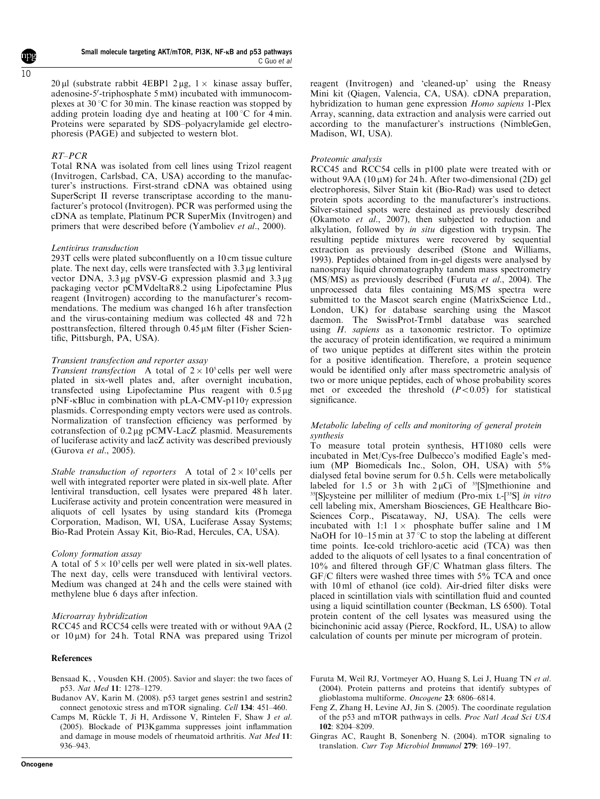<span id="page-9-0"></span> $20 \mu l$  (substrate rabbit 4EBP1 2  $\mu$ g, 1  $\times$  kinase assay buffer, adenosine-5'-triphosphate 5 mM) incubated with immunocomplexes at 30  $\degree$ C for 30 min. The kinase reaction was stopped by adding protein loading dye and heating at  $100^{\circ}$ C for 4 min. Proteins were separated by SDS–polyacrylamide gel electrophoresis (PAGE) and subjected to western blot.

# RT–PCR

Total RNA was isolated from cell lines using Trizol reagent (Invitrogen, Carlsbad, CA, USA) according to the manufacturer's instructions. First-strand cDNA was obtained using SuperScript II reverse transcriptase according to the manufacturer's protocol (Invitrogen). PCR was performed using the cDNA as template, Platinum PCR SuperMix (Invitrogen) and primers that were described before [\(Yamboliev](#page-10-0) et al., 2000).

# Lentivirus transduction

293T cells were plated subconfluently on a 10 cm tissue culture plate. The next day, cells were transfected with 3.3 ug lentiviral vector DNA,  $3.3 \mu$ g pVSV-G expression plasmid and  $3.3 \mu$ g packaging vector pCMVdeltaR8.2 using Lipofectamine Plus reagent (Invitrogen) according to the manufacturer's recommendations. The medium was changed 16 h after transfection and the virus-containing medium was collected 48 and 72 h posttransfection, filtered through  $0.45 \mu$ M filter (Fisher Scientific, Pittsburgh, PA, USA).

## Transient transfection and reporter assay

Transient transfection A total of  $2 \times 10^5$  cells per well were plated in six-well plates and, after overnight incubation, transfected using Lipofectamine Plus reagent with 0.5 µg  $pNF$ - $\kappa$ Bluc in combination with  $pLA-CMV$ -p110 $\gamma$  expression plasmids. Corresponding empty vectors were used as controls. Normalization of transfection efficiency was performed by cotransfection of 0.2 µg pCMV-LacZ plasmid. Measurements of luciferase activity and lacZ activity was described previously ([Gurova](#page-10-0) et al., 2005).

Stable transduction of reporters A total of  $2 \times 10^5$  cells per well with integrated reporter were plated in six-well plate. After lentiviral transduction, cell lysates were prepared 48 h later. Luciferase activity and protein concentration were measured in aliquots of cell lysates by using standard kits (Promega Corporation, Madison, WI, USA, Luciferase Assay Systems; Bio-Rad Protein Assay Kit, Bio-Rad, Hercules, CA, USA).

## Colony formation assay

A total of  $5 \times 10^3$  cells per well were plated in six-well plates. The next day, cells were transduced with lentiviral vectors. Medium was changed at 24 h and the cells were stained with methylene blue 6 days after infection.

## Microarray hybridization

RCC45 and RCC54 cells were treated with or without 9AA (2 or  $10 \mu M$ ) for 24 h. Total RNA was prepared using Trizol

#### References

- Bensaad K, , Vousden KH. (2005). Savior and slayer: the two faces of p53. Nat Med 11: 1278–1279.
- Budanov AV, Karin M. (2008). p53 target genes sestrin1 and sestrin2 connect genotoxic stress and mTOR signaling. Cell 134: 451–460.
- Camps M, Rückle T, Ji H, Ardissone V, Rintelen F, Shaw J et al. (2005). Blockade of PI3Kgamma suppresses joint inflammation and damage in mouse models of rheumatoid arthritis. Nat Med 11: 936–943.

reagent (Invitrogen) and 'cleaned-up' using the Rneasy Mini kit (Qiagen, Valencia, CA, USA). cDNA preparation, hybridization to human gene expression Homo sapiens 1-Plex Array, scanning, data extraction and analysis were carried out according to the manufacturer's instructions (NimbleGen, Madison, WI, USA).

### Proteomic analysis

RCC45 and RCC54 cells in p100 plate were treated with or without 9AA (10 $\mu$ M) for 24 h. After two-dimensional (2D) gel electrophoresis, Silver Stain kit (Bio-Rad) was used to detect protein spots according to the manufacturer's instructions. Silver-stained spots were destained as previously described (Okamoto et al., 2007), then subjected to reduction and alkylation, followed by in situ digestion with trypsin. The resulting peptide mixtures were recovered by sequential extraction as previously described ([Stone and Williams,](#page-10-0) [1993\)](#page-10-0). Peptides obtained from in-gel digests were analysed by nanospray liquid chromatography tandem mass spectrometry (MS/MS) as previously described (Furuta et al., 2004). The unprocessed data files containing MS/MS spectra were submitted to the Mascot search engine (MatrixScience Ltd., London, UK) for database searching using the Mascot daemon. The SwissProt-Trmbl database was searched using H. sapiens as a taxonomic restrictor. To optimize the accuracy of protein identification, we required a minimum of two unique peptides at different sites within the protein for a positive identification. Therefore, a protein sequence would be identified only after mass spectrometric analysis of two or more unique peptides, each of whose probability scores met or exceeded the threshold  $(P<0.05)$  for statistical significance.

## Metabolic labeling of cells and monitoring of general protein synthesis

To measure total protein synthesis, HT1080 cells were incubated in Met/Cys-free Dulbecco's modified Eagle's medium (MP Biomedicals Inc., Solon, OH, USA) with 5% dialysed fetal bovine serum for 0.5 h. Cells were metabolically labeled for 1.5 or 3h with  $2 \mu$ Ci of <sup>35</sup>[S]methionine and  $35$ [S]cysteine per milliliter of medium (Pro-mix L- $[35S]$  in vitro cell labeling mix, Amersham Biosciences, GE Healthcare Bio-Sciences Corp., Piscataway, NJ, USA). The cells were incubated with 1:1  $1 \times$  phosphate buffer saline and 1M NaOH for 10–15 min at  $37^{\circ}$ C to stop the labeling at different time points. Ice-cold trichloro-acetic acid (TCA) was then added to the aliquots of cell lysates to a final concentration of 10% and filtered through GF/C Whatman glass filters. The GF/C filters were washed three times with 5% TCA and once with 10 ml of ethanol (ice cold). Air-dried filter disks were placed in scintillation vials with scintillation fluid and counted using a liquid scintillation counter (Beckman, LS 6500). Total protein content of the cell lysates was measured using the bicinchoninic acid assay (Pierce, Rockford, IL, USA) to allow calculation of counts per minute per microgram of protein.

- Furuta M, Weil RJ, Vortmeyer AO, Huang S, Lei J, Huang TN et al. (2004). Protein patterns and proteins that identify subtypes of glioblastoma multiforme. Oncogene 23: 6806–6814.
- Feng Z, Zhang H, Levine AJ, Jin S. (2005). The coordinate regulation of the p53 and mTOR pathways in cells. Proc Natl Acad Sci USA 102: 8204–8209.
- Gingras AC, Raught B, Sonenberg N. (2004). mTOR signaling to translation. Curr Top Microbiol Immunol 279: 169–197.